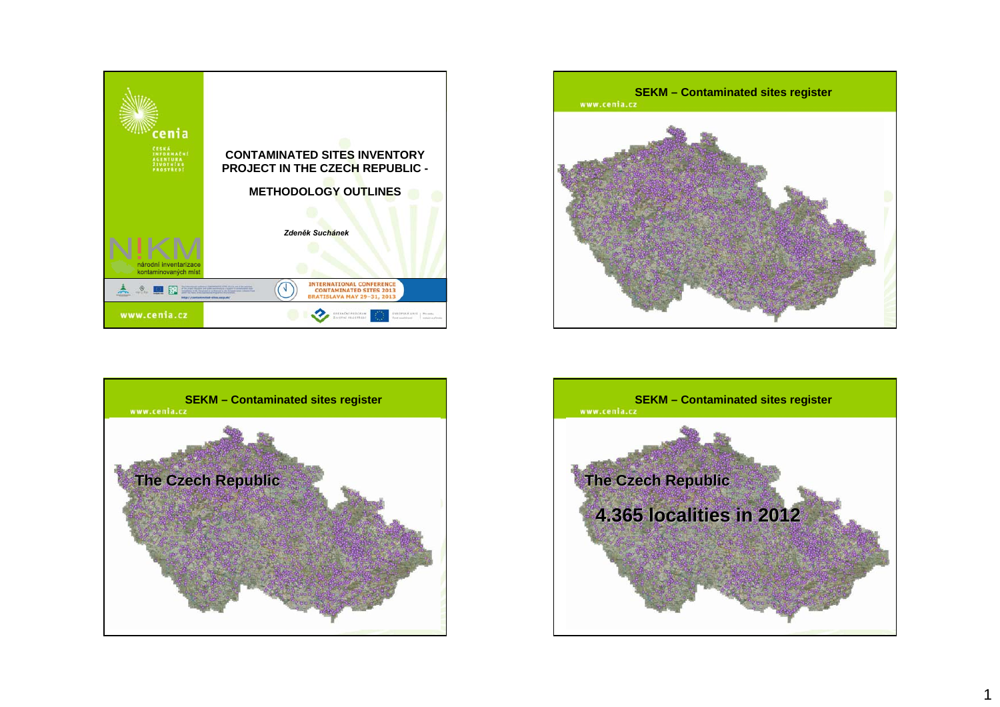







1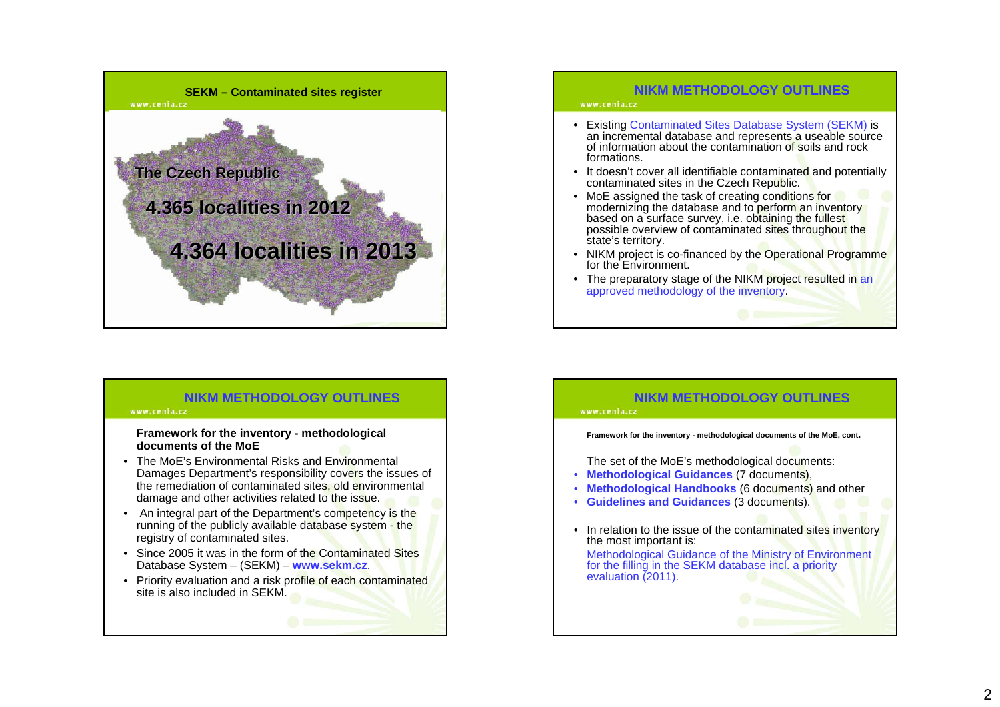

## www.cenia.cz

- Existing Contaminated Sites Database System (SEKM) is an incremental database and represents a useable source of information about the contamination of soils and rock formations.
- It doesn't cover all identifiable contaminated and potentially contaminated sites in the Czech Republic.
- MoE assigned the task of creating conditions for modernizing the database and to perform an inventory based on a surface survey, i.e. obtaining t<mark>he</mark> fulles<mark>t</mark>. possible overview of contaminated sites throughout the state's territory.
- NIKM project is co-financed by the Operational Programme for the Environment.
- The preparatory stage of the NIKM project resulted in an approved methodology of the inventory.

## **NIKM METHODOLOGY OUTLINES**

#### www.cenia.cz

#### **Framework for the inventory - methodological documents of the MoE**

- The MoE's Environmental Risks and Environmental Damages Department's responsibility covers the issues of the remediation of contaminated sites, old environmental damage and other activities related to the issue.
- An integral part of the Department's competency is the running of the publicly available database system - the registry of contaminated sites.
- Since 2005 it was in the form of the Contaminated Sites Database System – (SEKM) – **www.sekm.cz**.
- Priority evaluation and a risk profile of each contaminated site is also included in SEKM.

## **NIKM METHODOLOGY OUTLINES**

#### **Framework for the inventory - methodological documents of the MoE, cont.**

The set of the MoE's methodological documents:

- **Methodological Guidances** (7 documents),
- **Methodological Handbooks** (6 documents) and other
- **Guidelines and Guidances** (3 documents).
- In relation to the issue of the contaminated sites inventory the most important is: Methodological Guidance of the Ministry of Environment for the filling in the SEKM database incl. a priority evaluation (2011).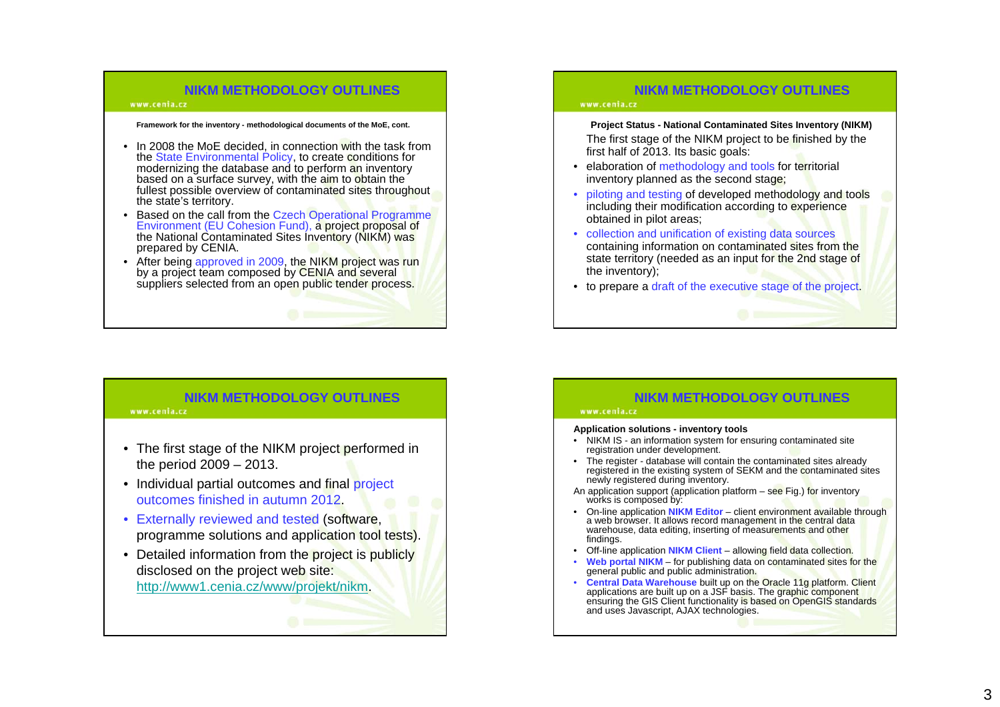#### www.cenia.cz

#### **Framework for the inventory - methodological documents of the MoE, cont.**

- In 2008 the MoE decided, in connection with the task from the State Environmental Policy, to create conditions for modernizing the database and to perform an inventory based on a surface survey, with the aim to obtain the fullest possible overview of contaminated sites throughout the state's territory.
- Based on the call from the Czech Operational Programme Environment (EU Cohesion Fund), <sup>a</sup> project proposal of the National Contaminated Sites Inventory (NIKM) was prepared by CENIA.
- After being approved in 2009, the NIKM project was run by a project team composed by CENIA and several suppliers selected from an open public tender process.

## **NIKM METHODOLOGY OUTLINES**

#### www.cenia.cz

- The first stage of the NIKM project performed in the period 2009 – 2013.
- Individual partial outcomes and final project outcomes finished in autumn 2012.
- Externally reviewed and tested (software, programme solutions and application tool tests).
- Detailed information from the project is publicly disclosed on the project web site: http://www1.cenia.cz/www/projekt/nikm.

## **NIKM METHODOLOGY OUTLINES**

#### www.cenia.cz

**Project Status - National Contaminated Sites Inventory (NIKM)**  The first stage of the NIKM project to be finished by the first half of 2013. Its basic goals:

- elaboration of methodology and tools for territorial inventory planned as the second stage;
- piloting and testing of developed methodology and tools including their modification according to experience obtained in pilot areas;
- collection and unification of existing data sources containing information on contaminated sites from the state territory (needed as an input for the 2nd stage of the inventory);
- to prepare a draft of the executive stage of the project.

## **NIKM METHODOLOGY OUTLINES**

#### www.cenia.cz

#### **Application solutions - inventory tools**

- NIKM IS an information system for ensuring contaminated site registration under development.
- The register database will contain the contaminated sites already registered in the existing system of SEKM and the contaminated sites newly registered during inventory.
- An application support (application platform  $-$  see Fig.) for inventory works is composed by:
- On-line application **NIKM Editor** client environment available through a web browser. It allows record management in the central data warehouse, data editing, inserting of measurements and other findings.
- Off-line application **NIKM Client** allowing field data collection.
- **Web portal NIKM** for publishing data on contaminated sites for the general public and public administration.
- Central Data Warehouse built up on the Oracle 11g platform. Client<br>applications are built up on a JSF basis. The graphic component<br>ensuring the GIS Client functionality is based on OpenGIS standards<br>and uses Javascript,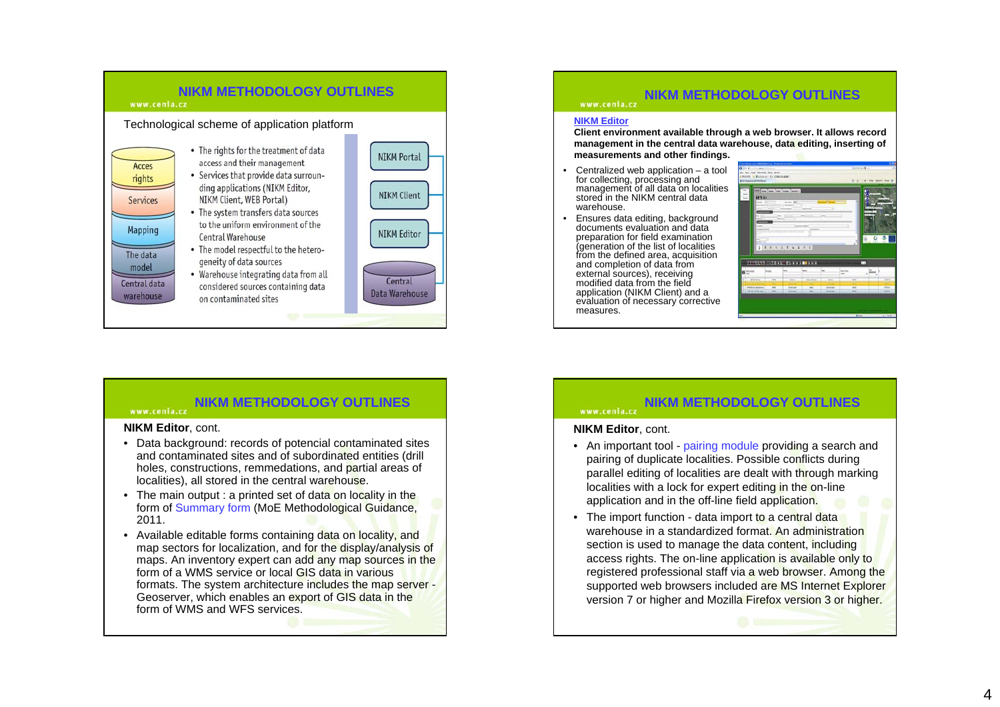

#### **NIKM METHODOLOGY OUTLINES**www.cenia.cz

#### **NIKM Editor**, cont.

- Data background: records of potencial contaminated sites and contaminated sites and of subordinated entities (drill holes, constructions, remmedations, and partial areas of localities), all stored in the central warehouse.
- The main output : a printed set of data on locality in the form of Summary form (MoE Methodological Guidance, 2011.
- Available editable forms containing data on locality, and map sectors for localization, and for the display/analysis of maps. An inventory expert can add any map sources in the form of a WMS service or local GIS data in various formats. The system architecture includes the map server -Geoserver, which enables an export of GIS data in the form of WMS and WFS services.

## **NIKM METHODOLOGY OUTLINES**

#### **NIKM Editor**

www.cenia.cz

 **Client environment available through a web browser. It allows record management in the central data warehouse, data editing, inserting of measurements and other findings.**

- • Centralized web application – a tool for collecting, processing and management of all data on localities stored in the NIKM central data warehouse.
- • Ensures data editing, background documents evaluation and data preparation for field examination (generation of the list of localities from the defined area, acquisition and completion of data from external sources), receiving modified data from the field application (NIKM Client) and a evaluation of necessary corrective measures.



#### **NIKM METHODOLOGY OUTLINES**www.cenia.cz

#### **NIKM Editor**, cont.

- An important tool pairing module providing a search and pairing of duplicate localities. Possible conflicts during parallel editing of localities are dealt with through marking localities with a lock for expert editing in the on-line application and in the off-line field application.
- The import function data import to a central data warehouse in a standardized format. An administration section is used to manage the data content, including access rights. The on-line application is available only to registered professional staff via a web browser. Among the supported web browsers included are MS Internet Explorer version 7 or higher and Mozilla Firefox version 3 or higher.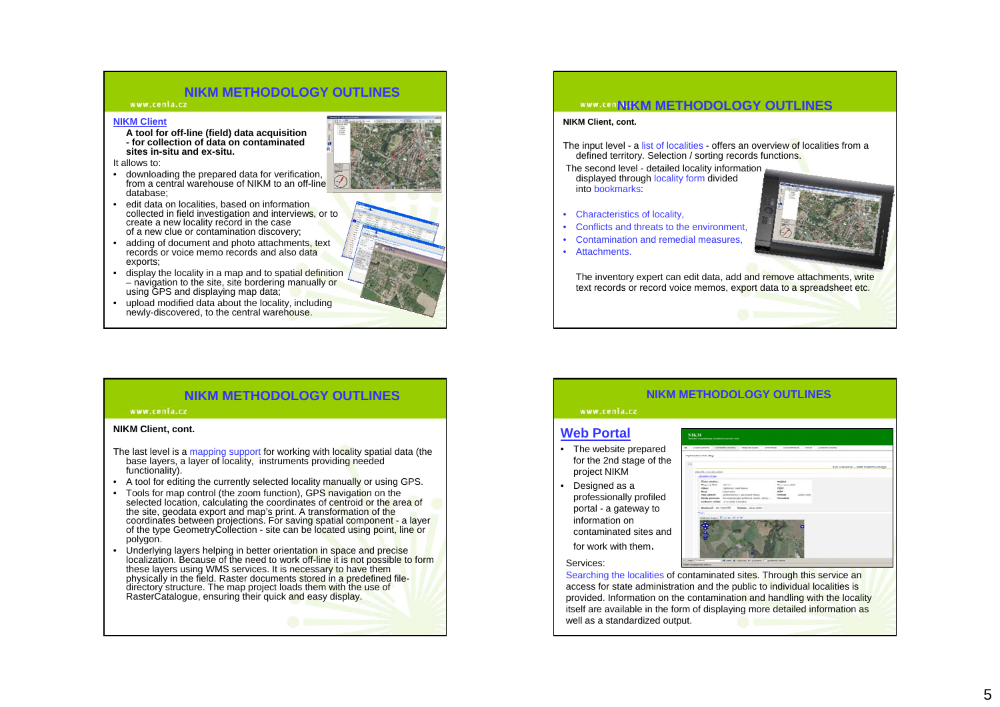#### www.cenia.cz

#### **NIKM Client**

**A tool for off-line (field) data acquisition - for collection of data on contaminated sites in-situ and ex-situ.**

It allows to:

- downloading the prepared data for verification, from a central warehouse of NIKM to an off-line database;
- edit data on localities, based on information collected in field investigation and interviews, or to create a new locality record in the case of a new clue or contamination discovery;
- adding of document and photo attachments, text records or voice memo records and also data exports;
- display the locality in a map and to spatial definition – navigation to the site, site bordering manually or using GPS and displaying map data;
- • upload modified data about the locality, including newly-discovered, to the central warehouse. The contract of the central warehouse and the central warehouse.





#### **WWW.CONDIKM METHODOLOGY OUTLINES**

#### **NIKM Client, cont.**

The input level - a list of localities - offers an overview of localities from a defined territory. Selection / sorting records functions.

The second level - detailed locality information displayed through locality form divided into bookmarks:

- Characteristics of locality,
- •Conflicts and threats to the environment,
- •Contamination and remedial measures,
- Attachments.

The inventory expert can edit data, add and remove attachments, write text records or record voice memos, export data to a spreadsheet etc.

## **NIKM METHODOLOGY OUTLINES**

#### www.cenia.cz

#### **NIKM Client, cont.**

- The last level is a mapping support for working with locality spatial data (the base layers, a layer of locality, instruments providing needed functionality).
- A tool for editing the currently selected locality manually or using GPS.
- Tools for map control (the zoom function), GPS navigation on the selected location, calculating the coordinates of centroid or the area of<br>the site, geodata export and map's print. A transformation of the coordinates between projections. For savin<mark>g</mark> spatial component - a layer<br>of the type GeometryCollection - site can be located using point, line or polygon.
- Underlying layers helping in better orientation in space and precise localization. Because of the need to work off-line it is not possible to form these layers using WMS services. It is necessary to have them<br>physically in the field. Raster documents <mark>stored in a predefined file-</mark> directory structure. The map project loads them with the use of RasterCatalogue, ensuring their quick and easy display.

#### **NIKM METHODOLOGY OUTLINES**

## www.cenia.cz **Web Portal**

- The website prepared for the 2nd stage of the project NIKM
- Designed as a professionally profiled portal - a gateway to information on contaminated sites and

for work with them.

Services:



Searching the localities of contaminated sites. Through this service an access for state administration and the public to individual localities is provided. Information on the contamination and handling with the locality itself are available in the form of displaying more detailed information as well as a standardized output.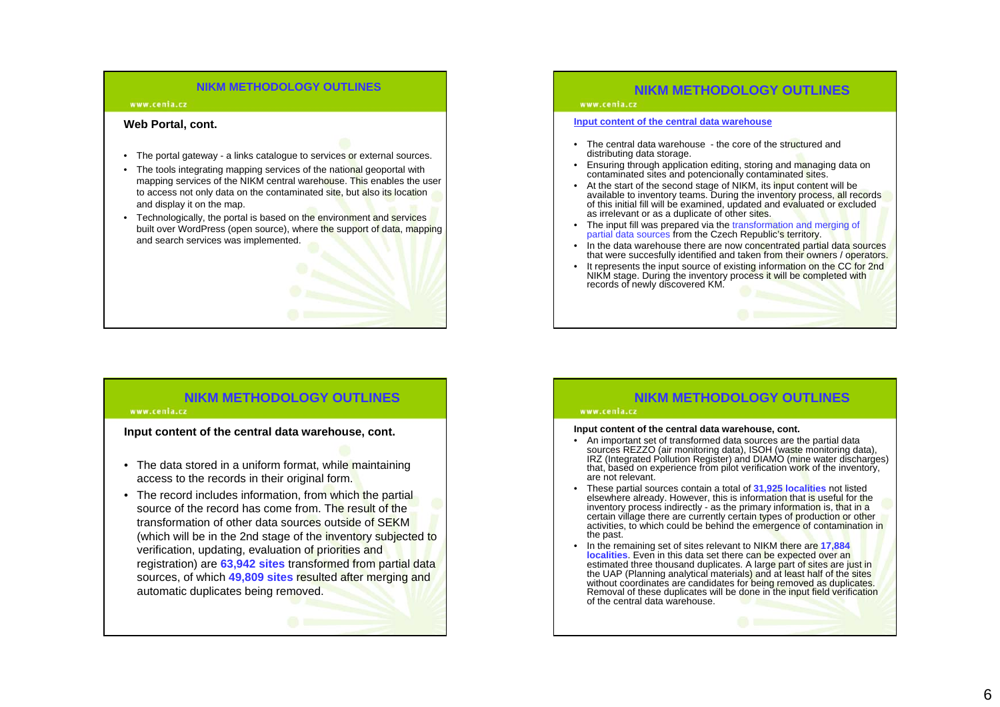#### www.cenia.cz

#### **Web Portal, cont.**

- The portal gateway a links catalogue to services or external sources.
- The tools integrating mapping services of the national geoportal with mapping services of the NIKM central warehouse. This enables the user to access not only data on the contaminated site, but also its location and display it on the map.
- Technologically, the portal is based on the environment and services built over WordPress (open source), where the support of data, mapping and search services was implemented.

## **NIKM METHODOLOGY OUTLINES**

#### www.cenia.cz

**Input content of the central data warehouse, cont.**

- The data stored in a uniform format, while maintaining access to the records in their original form.
- The record includes information, from which the partial source of the record has come from. The result of the transformation of other data sources outside of SEKM (which will be in the 2nd stage of the inventory subjected to verification, updating, evaluation of priorities and registration) are **63,942 sites** transformed from partial data sources, of which **49,809 sites** resulted after merging and automatic duplicates being removed.

## **NIKM METHODOLOGY OUTLINES**

#### www.cenia.cz

#### **Input content of the central data warehouse**

- The central data warehouse the core of the structured and distributing data storage.
- Ensuring through application editing, storing and managing data on contaminated sites and potencionally contaminated sites.
- At the start of the second stage of NIKM, its input content will be available to inventory teams. During the inventory process, all records of this initial fill will be examined, updated and evaluated or excluded as irre
- The input fill was prepared via the transformation and merging of partial data sources from the Czech Republic's territory.
- •In the data warehouse there are now concentrated partial data sources that were succesfully identified and taken from their owners / operators.
- •It represents the input source of existing information on the CC for 2nd NIKM stage. During the inventory process it will be completed with records of newly discovered KM.

## **NIKM METHODOLOGY OUTLINES**

#### www.cenia.cz

#### **Input content of the central data warehouse, cont.**

- An important set of transformed data sources are the partial data sources REZZO (air monitoring data), ISOH (wa**st**e monitoring data),<br>IRZ (Integrated Pollution Register) and DIAMO (mine water discharges)<br>that, based on experience from pilot verification w<mark>or</mark>k of the inventory, are not relevant.
- • These partial sources contain a total of **31,925 localities** not listed elsewhere already. However, this is information that is useful for the<br>inventory process indirectly - as the primary info<mark>rm</mark>atio<mark>n</mark> is, that in a certain village there are currently certain types of production or other activities, to which could be behind the emergence of contamination in the past.
- • In the remaining set of sites relevant to NIKM there are **17,884 localities**. Even in this data set there can be expected over an estimated three thousand duplicates. A large part of sites are just in the UAP (Planning analytical materials<mark>) and at least half of the sites .</mark><br>without coordinates are candidates for being removed as duplicates. Removal of these duplicates will be done in the input field verification of the central data warehouse.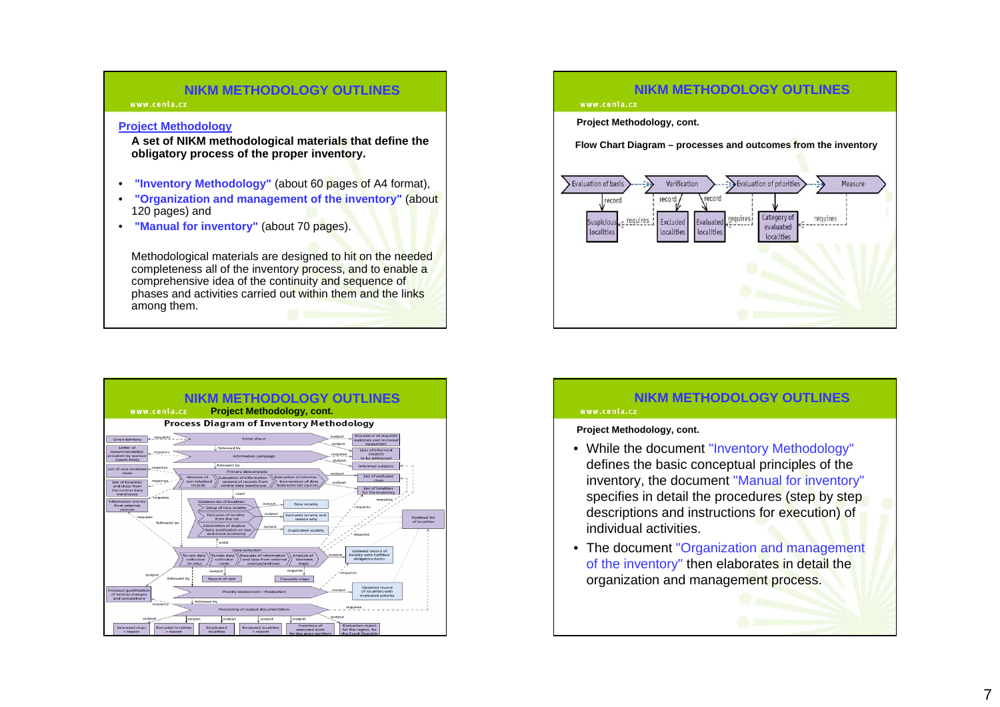www.cenia.cz

#### **Project Methodology**

**A set of NIKM methodological materials that define the obligatory process of the proper inventory.**

- **"Inventory Methodology"** (about 60 pages of A4 format),
- **"Organization and management of the inventory"** (about 120 pages) and
- **"Manual for inventory"** (about 70 pages).

Methodological materials are designed to hit on the needed completeness all of the inventory process, and to enable a comprehensive idea of the continuity and sequence of phases and activities carried out within them and the links<br>among them.



## **NIKM METHODOLOGY OUTLINES**

www.cenia.cz

**Project Methodology, cont.**

**Flow Chart Diagram – processes and outcomes from the inventory**



## **NIKM METHODOLOGY OUTLINES**

### www.cenia.cz

**Project Methodology, cont.**

- While the document "Inventory Methodology" defines the basic conceptual principles of the inventory, the document "Manual for inventory" specifies in detail the procedures (step by step descriptions and instructions for execution) of individual activities.
- The document "Organization and management of the inventory" then elaborates in detail the organization and management process.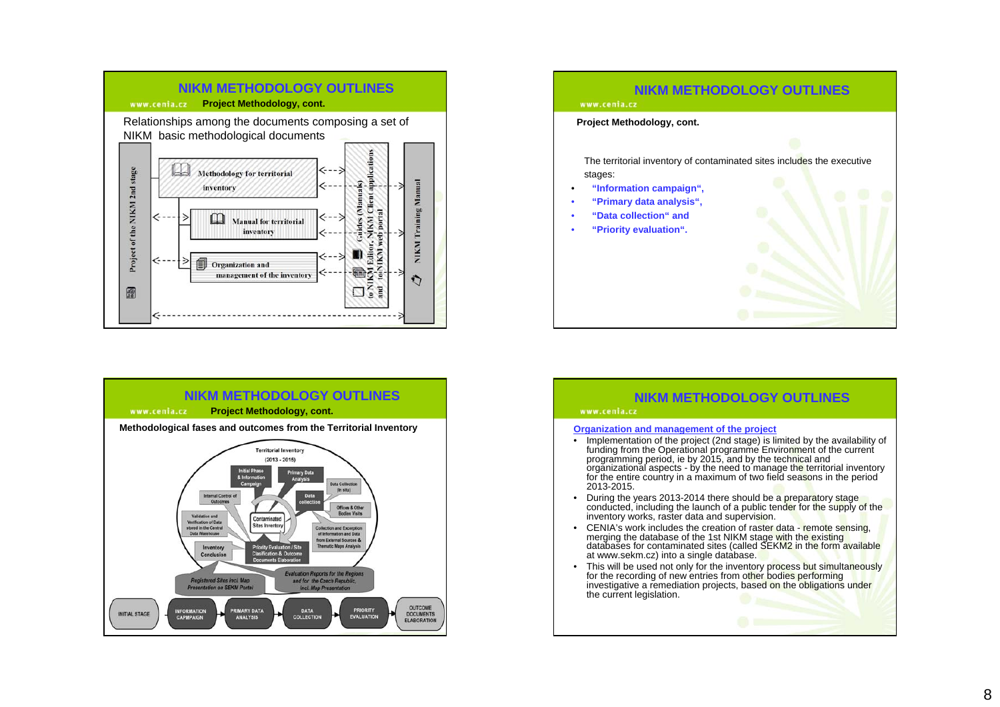





#### www.cenia.cz

#### **Organization and management of the project**

- Implementation of the project (2nd stage) is limited by the availability of funding from the Operational programme Environment of the current<br>programming period, ie by 2015, and by the technical and<br>organizational aspects - by the need to manage th<mark>e t</mark>erritorial inventory for the entire country in a maximum of two field seasons in the period 2013-2015.
- During the years 2013-2014 there should be a preparatory stage and conducted, including the launch of a public tender for the supply of the •inventory works, raster data and supervision.
- • CENIA's work includes the creation of raster data - remote sensing, merging the database of the 1st NIKM stage with the existing databases for contaminated sites (called SEKM2 in the form available at www.sekm.cz) into a single database.
- •This will be used not only for the inventory process but simultaneously for the recording of new entries from other bodies performing investigative a remediation projects, based on the obligations under the current legislation.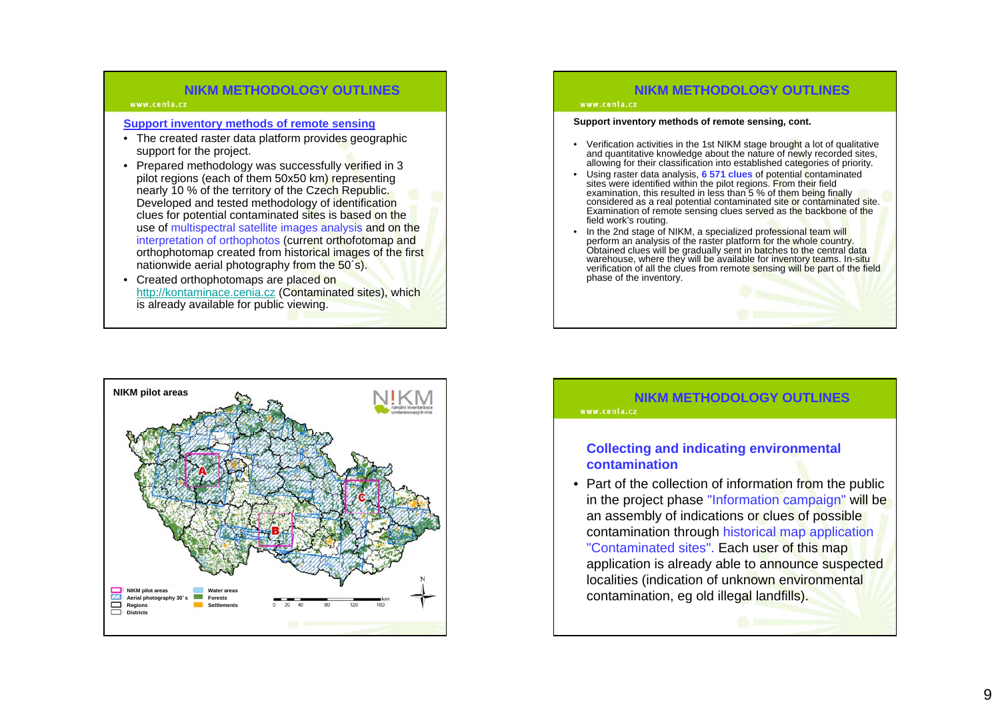#### www.cenia.cz

### **Support inventory methods of remote sensing**

- The created raster data platform provides geographic support for the project.
- Prepared methodology was successfully verified in 3 pilot regions (each of them 50x50 km) representing nearly 10 % of the territory of the Czech Republic. Developed and tested methodology of identification clues for potential contaminated sites is based on the use of multispectral satellite images analysis and on the interpretation of orthophotos (current orthofotomap and orthophotomap created from historical images of the first nationwide aerial photography from the 50´s).
- Created orthophotomaps are placed on http://kontaminace.cenia.cz (Contaminated sites), which is already available for public viewing.

# **NIKM pilot areas Water areasForestsSettlementsNIKM pilot areas Aerial photography 30**´**<sup>s</sup>** Regions **Districts**

## **NIKM METHODOLOGY OUTLINES**

#### www.cenia.cz

#### **Support inventory methods of remote sensing, cont.**

- Verification activities in the 1st NIKM stage brought a lot of qualitative and quantitative knowledge about the nature of newly recorded sites, allowing for their classification into established categories of priority.
- Using raster data analysis, **6 571 clues** of potential contaminated sites were identified within the pilot regions. From their field examination, this resulted in less than 5 % of them being finally considered as a real potential contaminated site <mark>o</mark>r contaminated site.<br>Examination of remote sensing clues ser<mark>v</mark>ed as the backbone of the field work's routing.
- •In the 2nd stage of NIKM, a specialized professional team will<br>perform an analysis of the raster platform for the whole country.<br>Obtained clues will be gradually sent in backnes to the central data<br>warehouse, where they wi phase of the inventory.

## **NIKM METHODOLOGY OUTLINES**

www.cenia.cz

## **Collecting and indicating environmental contamination**

• Part of the collection of information from the public in the project phase "Information campaign" will be an assembly of indications or clues of possible contamination through historical map application "Contaminated sites". Each user of this map application is already able to announce suspected localities (indication of unknown environmental contamination, eg old illegal landfills).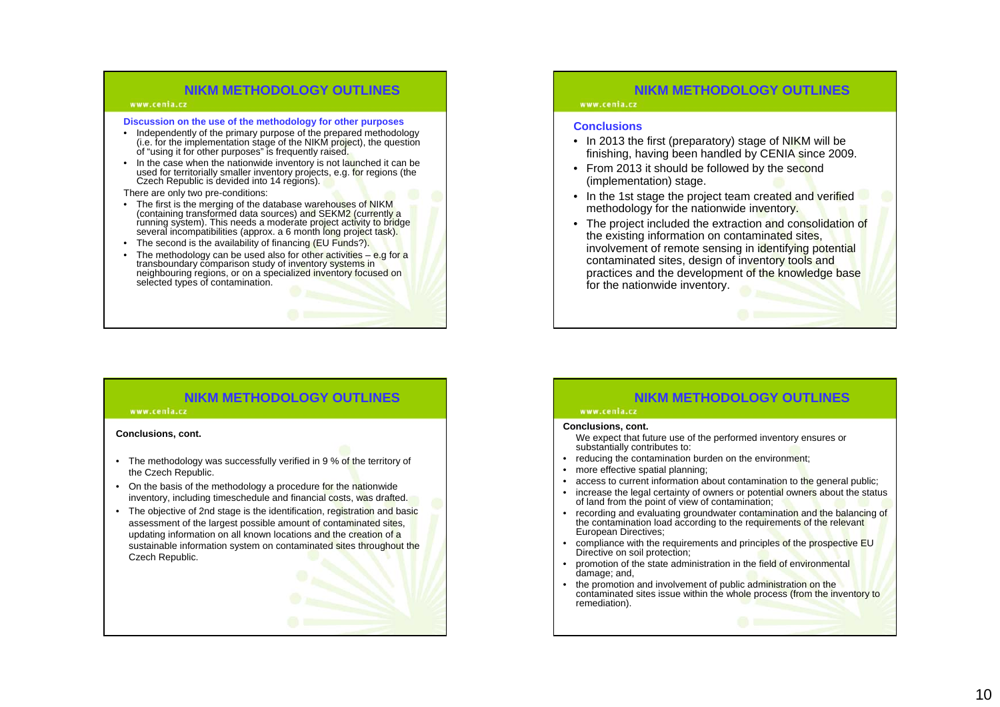#### www.cenia.cz

#### **Discussion on the use of the methodology for other purposes**

- Independently of the primary purpose of the prepared methodology (i.e. for the implementation stage of the NIKM pr<mark>oj</mark>ect), the question<br>of "using it for other purposes" is frequently raised.
- In the case when the nationwide inventory is not launched it can be used for territorially smaller inventory projects, e.g. for regions (the .<br>Czech Republic is devided into 14 regions).
- There are only two pre-conditions:
- The first is the merging of the database warehouses of NIKM (containing transformed data sources) and SEKM2 (currently a running system). This needs a moderate project activity to bridge<br>several incompatibilities (approx. a 6 month long project task)<mark>.</mark>
- The second is the availability of financing (EU Funds?).
- The methodology can be used also for other activities e.g for a transboundary comparison study of inventory systems in neighbouring regions, or on a specialized inventory focused on selected types of contamination.

## **NIKM METHODOLOGY OUTLINES**

#### www.cenia.cz

#### **Conclusions, cont.**

- The methodology was successfully verified in 9 % of the territory of the Czech Republic.
- On the basis of the methodology a procedure for the nationwide inventory, including timeschedule and financial costs, was drafted.
- The objective of 2nd stage is the identification, registration and basic assessment of the largest possible amount of contaminated sites, updating information on all known locations and the creation of a sustainable information system on contaminated sites throughout the Czech Republic.

## **NIKM METHODOLOGY OUTLINES**

#### www.cenia.cz

#### **Conclusions**

- In 2013 the first (preparatory) stage of NIKM will be finishing, having been handled by CENIA since 2009.
- From 2013 it should be followed by the second (implementation) stage.
- In the 1st stage the project team created and verified methodology for the nationwide inventory.
- The project included the extraction and consolidation of the existing information on contaminated sites, involvement of remote sensing in identifying potential contaminated sites, design of inventory tools and practices and the development of the knowledge base for the nationwide inventory.

## **NIKM METHODOLOGY OUTLINES**

#### www.cenia.cz **Conclusions, cont.**

We expect that future use of the performed inventory ensures or substantially contributes to:

- reducing the contamination burden on the environment;
- more effective spatial planning;
- •access to current information about contamination to the general public;
- increase the legal certainty of owners or potential owners about the status of land from the point of view of contamination;
- recording and evaluating groundwater contamination and the balancing of the contamination load according to the requirements of the relevant European Directives;
- •compliance with the requirements and principles of the prospective EU Directive on soil protection;
- • promotion of the state administration in the field of environmental damage; and,
- • the promotion and involvement of public administration on the contaminated sites issue within the whole process (from the inventory to remediation).